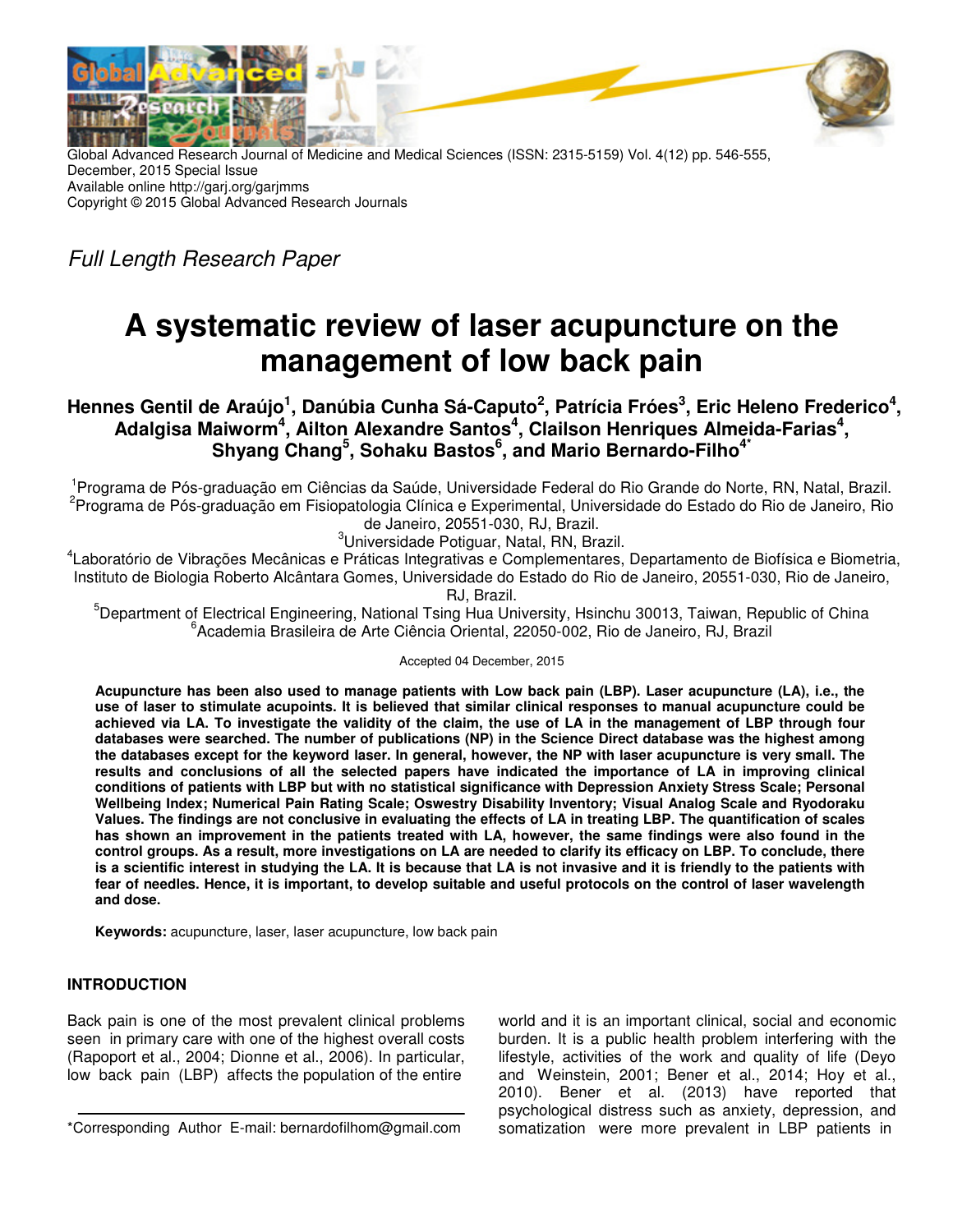



Global Advanced Research Journal of Medicine and Medical Sciences (ISSN: 2315-5159) Vol. 4(12) pp. 546-555, December, 2015 Special Issue Available online http://garj.org/garjmms Copyright © 2015 Global Advanced Research Journals

Full Length Research Paper

# **A systematic review of laser acupuncture on the management of low back pain**

**Hennes Gentil de Araújo<sup>1</sup> , Danúbia Cunha Sá-Caputo<sup>2</sup> , Patrícia Fróes<sup>3</sup> , Eric Heleno Frederico<sup>4</sup> ,**  Adalgisa Maiworm<sup>4</sup>, Ailton Alexandre Santos<sup>4</sup>, Clailson Henriques Almeida-Farias<sup>4</sup>, **Shyang Chang<sup>5</sup> , Sohaku Bastos<sup>6</sup> , and Mario Bernardo-Filho4\*** 

<sup>1</sup>Programa de Pós-graduação em Ciências da Saúde, Universidade Federal do Rio Grande do Norte, RN, Natal, Brazil. 2 Programa de Pós-graduação em Fisiopatologia Clínica e Experimental, Universidade do Estado do Rio de Janeiro, Rio de Janeiro, 20551-030, RJ, Brazil.

<sup>3</sup>Universidade Potiguar, Natal, RN, Brazil.

4 Laboratório de Vibrações Mecânicas e Práticas Integrativas e Complementares, Departamento de Biofísica e Biometria, Instituto de Biologia Roberto Alcântara Gomes, Universidade do Estado do Rio de Janeiro, 20551-030, Rio de Janeiro, RJ, Brazil.

<sup>5</sup>Department of Electrical Engineering, National Tsing Hua University, Hsinchu 30013, Taiwan, Republic of China 6 Academia Brasileira de Arte Ciência Oriental, 22050-002, Rio de Janeiro, RJ, Brazil

Accepted 04 December, 2015

**Acupuncture has been also used to manage patients with Low back pain (LBP). Laser acupuncture (LA), i.e., the use of laser to stimulate acupoints. It is believed that similar clinical responses to manual acupuncture could be achieved via LA. To investigate the validity of the claim, the use of LA in the management of LBP through four databases were searched. The number of publications (NP) in the Science Direct database was the highest among the databases except for the keyword laser. In general, however, the NP with laser acupuncture is very small. The results and conclusions of all the selected papers have indicated the importance of LA in improving clinical conditions of patients with LBP but with no statistical significance with Depression Anxiety Stress Scale; Personal Wellbeing Index; Numerical Pain Rating Scale; Oswestry Disability Inventory; Visual Analog Scale and Ryodoraku Values. The findings are not conclusive in evaluating the effects of LA in treating LBP. The quantification of scales has shown an improvement in the patients treated with LA, however, the same findings were also found in the control groups. As a result, more investigations on LA are needed to clarify its efficacy on LBP. To conclude, there is a scientific interest in studying the LA. It is because that LA is not invasive and it is friendly to the patients with fear of needles. Hence, it is important, to develop suitable and useful protocols on the control of laser wavelength and dose.** 

**Keywords:** acupuncture, laser, laser acupuncture, low back pain

# **INTRODUCTION**

Back pain is one of the most prevalent clinical problems seen in primary care with one of the highest overall costs (Rapoport et al., 2004; Dionne et al., 2006). In particular, low back pain (LBP) affects the population of the entire

\*Corresponding Author E-mail: bernardofilhom@gmail.com

world and it is an important clinical, social and economic burden. It is a public health problem interfering with the lifestyle, activities of the work and quality of life (Deyo and Weinstein, 2001; Bener et al., 2014; Hoy et al., 2010). Bener et al. (2013) have reported that psychological distress such as anxiety, depression, and somatization were more prevalent in LBP patients in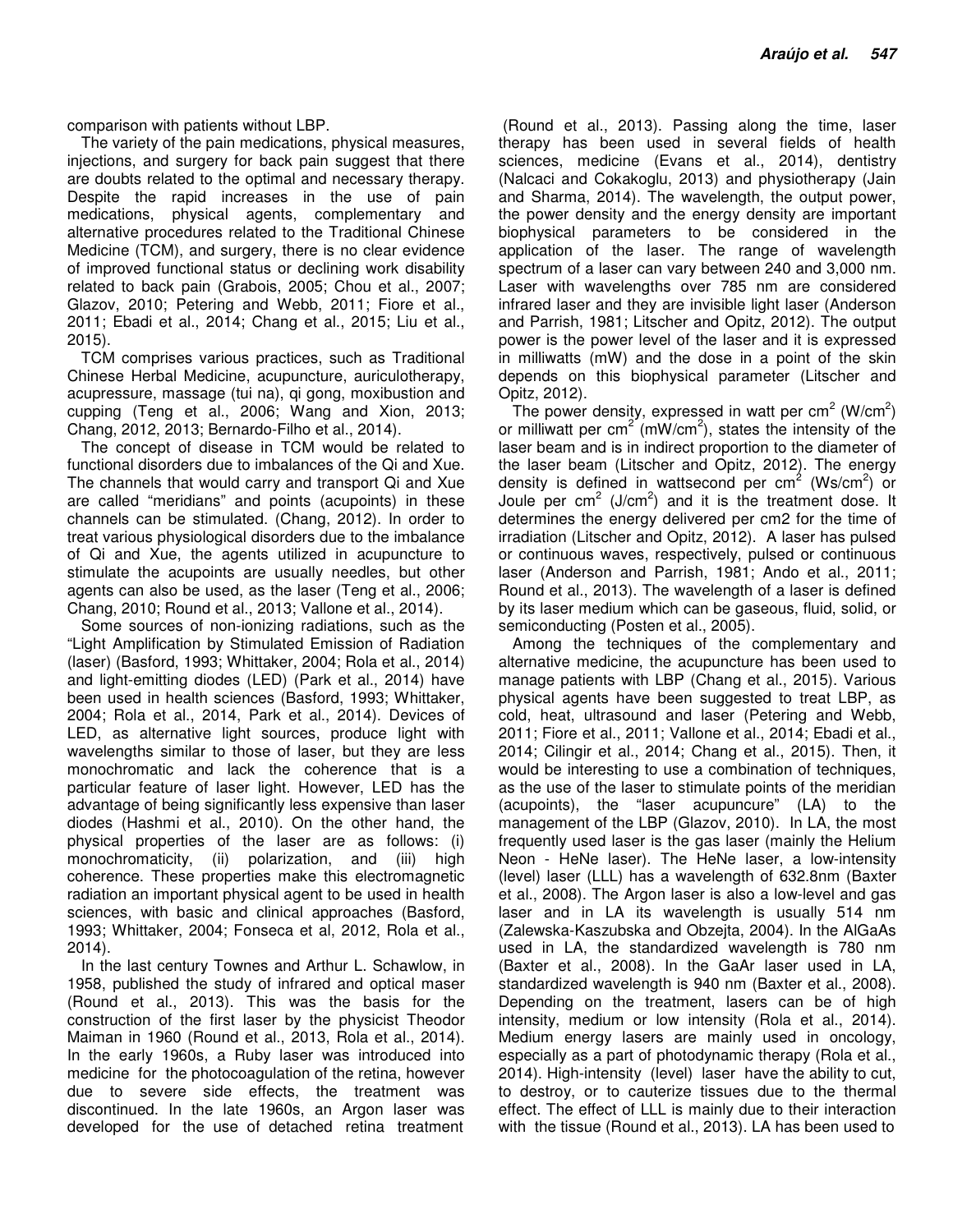comparison with patients without LBP.

The variety of the pain medications, physical measures, injections, and surgery for back pain suggest that there are doubts related to the optimal and necessary therapy. Despite the rapid increases in the use of pain medications, physical agents, complementary and alternative procedures related to the Traditional Chinese Medicine (TCM), and surgery, there is no clear evidence of improved functional status or declining work disability related to back pain (Grabois, 2005; Chou et al., 2007; Glazov, 2010; Petering and Webb, 2011; Fiore et al., 2011; Ebadi et al., 2014; Chang et al., 2015; Liu et al., 2015).

TCM comprises various practices, such as Traditional Chinese Herbal Medicine, acupuncture, auriculotherapy, acupressure, massage (tui na), qi gong, moxibustion and cupping (Teng et al., 2006; Wang and Xion, 2013; Chang, 2012, 2013; Bernardo-Filho et al., 2014).

The concept of disease in TCM would be related to functional disorders due to imbalances of the Qi and Xue. The channels that would carry and transport Qi and Xue are called "meridians" and points (acupoints) in these channels can be stimulated. (Chang, 2012). In order to treat various physiological disorders due to the imbalance of Qi and Xue, the agents utilized in acupuncture to stimulate the acupoints are usually needles, but other agents can also be used, as the laser (Teng et al., 2006; Chang, 2010; Round et al., 2013; Vallone et al., 2014).

Some sources of non-ionizing radiations, such as the "Light Amplification by Stimulated Emission of Radiation (laser) (Basford, 1993; Whittaker, 2004; Rola et al., 2014) and light-emitting diodes (LED) (Park et al., 2014) have been used in health sciences (Basford, 1993; Whittaker, 2004; Rola et al., 2014, Park et al., 2014). Devices of LED, as alternative light sources, produce light with wavelengths similar to those of laser, but they are less monochromatic and lack the coherence that is a particular feature of laser light. However, LED has the advantage of being significantly less expensive than laser diodes (Hashmi et al., 2010). On the other hand, the physical properties of the laser are as follows: (i) monochromaticity, (ii) polarization, and (iii) high coherence. These properties make this electromagnetic radiation an important physical agent to be used in health sciences, with basic and clinical approaches (Basford, 1993; Whittaker, 2004; Fonseca et al, 2012, Rola et al., 2014).

In the last century Townes and Arthur L. Schawlow, in 1958, published the study of infrared and optical maser (Round et al., 2013). This was the basis for the construction of the first laser by the physicist Theodor Maiman in 1960 (Round et al., 2013, Rola et al., 2014). In the early 1960s, a Ruby laser was introduced into medicine for the photocoagulation of the retina, however due to severe side effects, the treatment was discontinued. In the late 1960s, an Argon laser was developed for the use of detached retina treatment

 (Round et al., 2013). Passing along the time, laser therapy has been used in several fields of health sciences, medicine (Evans et al., 2014), dentistry (Nalcaci and Cokakoglu, 2013) and physiotherapy (Jain and Sharma, 2014). The wavelength, the output power, the power density and the energy density are important biophysical parameters to be considered in the application of the laser. The range of wavelength spectrum of a laser can vary between 240 and 3,000 nm. Laser with wavelengths over 785 nm are considered infrared laser and they are invisible light laser (Anderson and Parrish, 1981; Litscher and Opitz, 2012). The output power is the power level of the laser and it is expressed in milliwatts (mW) and the dose in a point of the skin depends on this biophysical parameter (Litscher and Opitz, 2012).

The power density, expressed in watt per cm<sup>2</sup> (W/cm<sup>2</sup>) or milliwatt per cm<sup>2</sup> (mW/cm<sup>2</sup>), states the intensity of the laser beam and is in indirect proportion to the diameter of the laser beam (Litscher and Opitz, 2012). The energy density is defined in wattsecond per cm<sup>2</sup> (Ws/cm<sup>2</sup>) or Joule per  $\text{cm}^2$  (J/cm<sup>2</sup>) and it is the treatment dose. It determines the energy delivered per cm2 for the time of irradiation (Litscher and Opitz, 2012). A laser has pulsed or continuous waves, respectively, pulsed or continuous laser (Anderson and Parrish, 1981; Ando et al., 2011; Round et al., 2013). The wavelength of a laser is defined by its laser medium which can be gaseous, fluid, solid, or semiconducting (Posten et al., 2005).

Among the techniques of the complementary and alternative medicine, the acupuncture has been used to manage patients with LBP (Chang et al., 2015). Various physical agents have been suggested to treat LBP, as cold, heat, ultrasound and laser (Petering and Webb, 2011; Fiore et al., 2011; Vallone et al., 2014; Ebadi et al., 2014; Cilingir et al., 2014; Chang et al., 2015). Then, it would be interesting to use a combination of techniques, as the use of the laser to stimulate points of the meridian (acupoints), the "laser acupuncure" (LA) to the management of the LBP (Glazov, 2010). In LA, the most frequently used laser is the gas laser (mainly the Helium Neon - HeNe laser). The HeNe laser, a low-intensity (level) laser (LLL) has a wavelength of 632.8nm (Baxter et al., 2008). The Argon laser is also a low-level and gas laser and in LA its wavelength is usually 514 nm (Zalewska-Kaszubska and Obzejta, 2004). In the AlGaAs used in LA, the standardized wavelength is 780 nm (Baxter et al., 2008). In the GaAr laser used in LA, standardized wavelength is 940 nm (Baxter et al., 2008). Depending on the treatment, lasers can be of high intensity, medium or low intensity (Rola et al., 2014). Medium energy lasers are mainly used in oncology, especially as a part of photodynamic therapy (Rola et al., 2014). High-intensity (level) laser have the ability to cut, to destroy, or to cauterize tissues due to the thermal effect. The effect of LLL is mainly due to their interaction with the tissue (Round et al., 2013). LA has been used to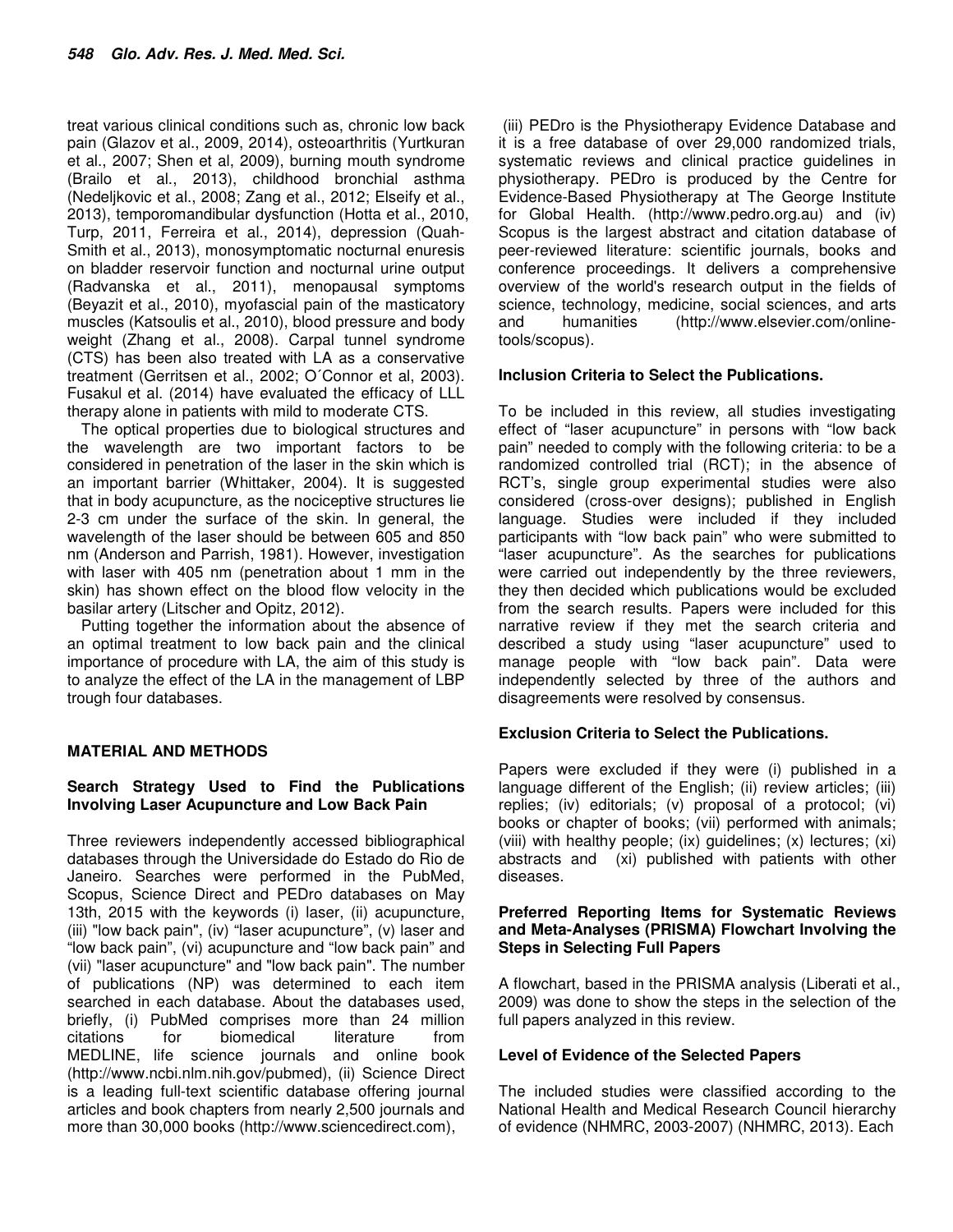treat various clinical conditions such as, chronic low back pain (Glazov et al., 2009, 2014), osteoarthritis (Yurtkuran et al., 2007; Shen et al, 2009), burning mouth syndrome (Brailo et al., 2013), childhood bronchial asthma (Nedeljkovic et al., 2008; Zang et al., 2012; Elseify et al., 2013), temporomandibular dysfunction (Hotta et al., 2010, Turp, 2011, Ferreira et al., 2014), depression (Quah-Smith et al., 2013), monosymptomatic nocturnal enuresis on bladder reservoir function and nocturnal urine output (Radvanska et al., 2011), menopausal symptoms (Beyazit et al., 2010), myofascial pain of the masticatory muscles (Katsoulis et al., 2010), blood pressure and body weight (Zhang et al., 2008). Carpal tunnel syndrome (CTS) has been also treated with LA as a conservative treatment (Gerritsen et al., 2002; O´Connor et al, 2003). Fusakul et al. (2014) have evaluated the efficacy of LLL therapy alone in patients with mild to moderate CTS.

The optical properties due to biological structures and the wavelength are two important factors to be considered in penetration of the laser in the skin which is an important barrier (Whittaker, 2004). It is suggested that in body acupuncture, as the nociceptive structures lie 2-3 cm under the surface of the skin. In general, the wavelength of the laser should be between 605 and 850 nm (Anderson and Parrish, 1981). However, investigation with laser with 405 nm (penetration about 1 mm in the skin) has shown effect on the blood flow velocity in the basilar artery (Litscher and Opitz, 2012).

Putting together the information about the absence of an optimal treatment to low back pain and the clinical importance of procedure with LA, the aim of this study is to analyze the effect of the LA in the management of LBP trough four databases.

# **MATERIAL AND METHODS**

# **Search Strategy Used to Find the Publications Involving Laser Acupuncture and Low Back Pain**

Three reviewers independently accessed bibliographical databases through the Universidade do Estado do Rio de Janeiro. Searches were performed in the PubMed, Scopus, Science Direct and PEDro databases on May 13th, 2015 with the keywords (i) laser, (ii) acupuncture, (iii) "low back pain", (iv) "laser acupuncture", (v) laser and "low back pain", (vi) acupuncture and "low back pain" and (vii) "laser acupuncture" and "low back pain". The number of publications (NP) was determined to each item searched in each database. About the databases used, briefly, (i) PubMed comprises more than 24 million citations for biomedical literature from MEDLINE, life science journals and online book (http://www.ncbi.nlm.nih.gov/pubmed), (ii) Science Direct is a leading full-text scientific database offering journal articles and book chapters from nearly 2,500 journals and more than 30,000 books (http://www.sciencedirect.com),

 (iii) PEDro is the Physiotherapy Evidence Database and it is a free database of over 29,000 randomized trials, systematic reviews and clinical practice guidelines in physiotherapy. PEDro is produced by the Centre for Evidence-Based Physiotherapy at The George Institute for Global Health. (http://www.pedro.org.au) and (iv) Scopus is the largest abstract and citation database of peer-reviewed literature: scientific journals, books and conference proceedings. It delivers a comprehensive overview of the world's research output in the fields of science, technology, medicine, social sciences, and arts and humanities (http://www.elsevier.com/onlinetools/scopus).

## **Inclusion Criteria to Select the Publications.**

To be included in this review, all studies investigating effect of "laser acupuncture" in persons with "low back pain" needed to comply with the following criteria: to be a randomized controlled trial (RCT); in the absence of RCT's, single group experimental studies were also considered (cross-over designs); published in English language. Studies were included if they included participants with "low back pain" who were submitted to "laser acupuncture". As the searches for publications were carried out independently by the three reviewers, they then decided which publications would be excluded from the search results. Papers were included for this narrative review if they met the search criteria and described a study using "laser acupuncture" used to manage people with "low back pain". Data were independently selected by three of the authors and disagreements were resolved by consensus.

## **Exclusion Criteria to Select the Publications.**

Papers were excluded if they were (i) published in a language different of the English; (ii) review articles; (iii) replies; (iv) editorials; (v) proposal of a protocol; (vi) books or chapter of books; (vii) performed with animals; (viii) with healthy people; (ix) guidelines; (x) lectures; (xi) abstracts and (xi) published with patients with other diseases.

#### **Preferred Reporting Items for Systematic Reviews and Meta-Analyses (PRISMA) Flowchart Involving the Steps in Selecting Full Papers**

A flowchart, based in the PRISMA analysis (Liberati et al., 2009) was done to show the steps in the selection of the full papers analyzed in this review.

## **Level of Evidence of the Selected Papers**

The included studies were classified according to the National Health and Medical Research Council hierarchy of evidence (NHMRC, 2003-2007) (NHMRC, 2013). Each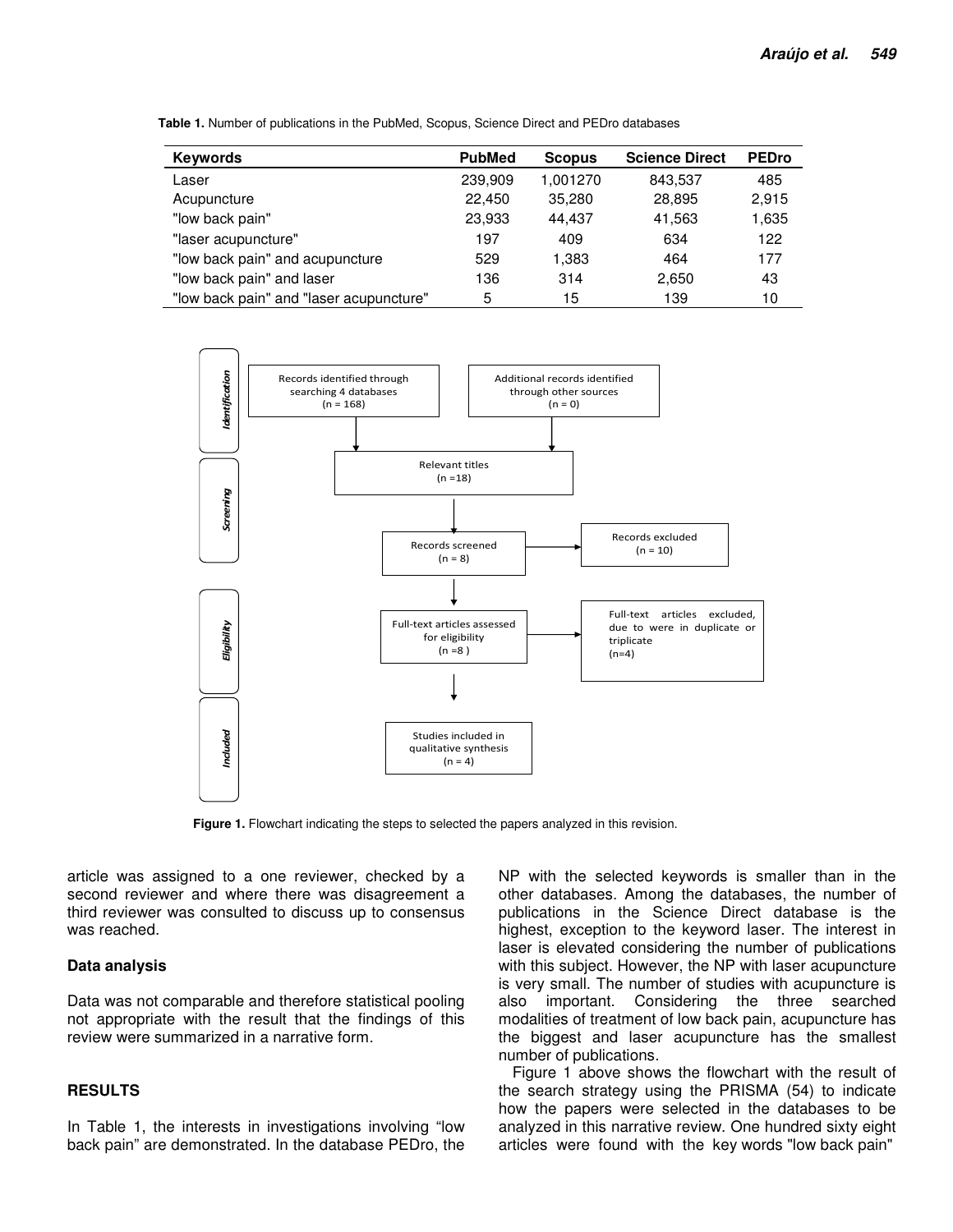| <b>Keywords</b>                         | <b>PubMed</b> | <b>Scopus</b> | <b>Science Direct</b> | <b>PEDro</b> |
|-----------------------------------------|---------------|---------------|-----------------------|--------------|
| Laser                                   | 239,909       | 1,001270      | 843,537               | 485          |
| Acupuncture                             | 22,450        | 35,280        | 28,895                | 2,915        |
| "low back pain"                         | 23,933        | 44.437        | 41,563                | 1,635        |
| "laser acupuncture"                     | 197           | 409           | 634                   | 122          |
| "low back pain" and acupuncture         | 529           | 1,383         | 464                   | 177          |
| "low back pain" and laser               | 136           | 314           | 2,650                 | 43           |
| "low back pain" and "laser acupuncture" | 5             | 15            | 139                   | 10           |





**Figure 1.** Flowchart indicating the steps to selected the papers analyzed in this revision.

article was assigned to a one reviewer, checked by a second reviewer and where there was disagreement a third reviewer was consulted to discuss up to consensus was reached.

#### **Data analysis**

Data was not comparable and therefore statistical pooling not appropriate with the result that the findings of this review were summarized in a narrative form.

#### **RESULTS**

In Table 1, the interests in investigations involving "low back pain" are demonstrated. In the database PEDro, the

NP with the selected keywords is smaller than in the other databases. Among the databases, the number of publications in the Science Direct database is the highest, exception to the keyword laser. The interest in laser is elevated considering the number of publications with this subject. However, the NP with laser acupuncture is very small. The number of studies with acupuncture is also important. Considering the three searched modalities of treatment of low back pain, acupuncture has the biggest and laser acupuncture has the smallest number of publications.

Figure 1 above shows the flowchart with the result of the search strategy using the PRISMA (54) to indicate how the papers were selected in the databases to be analyzed in this narrative review. One hundred sixty eight articles were found with the key words "low back pain"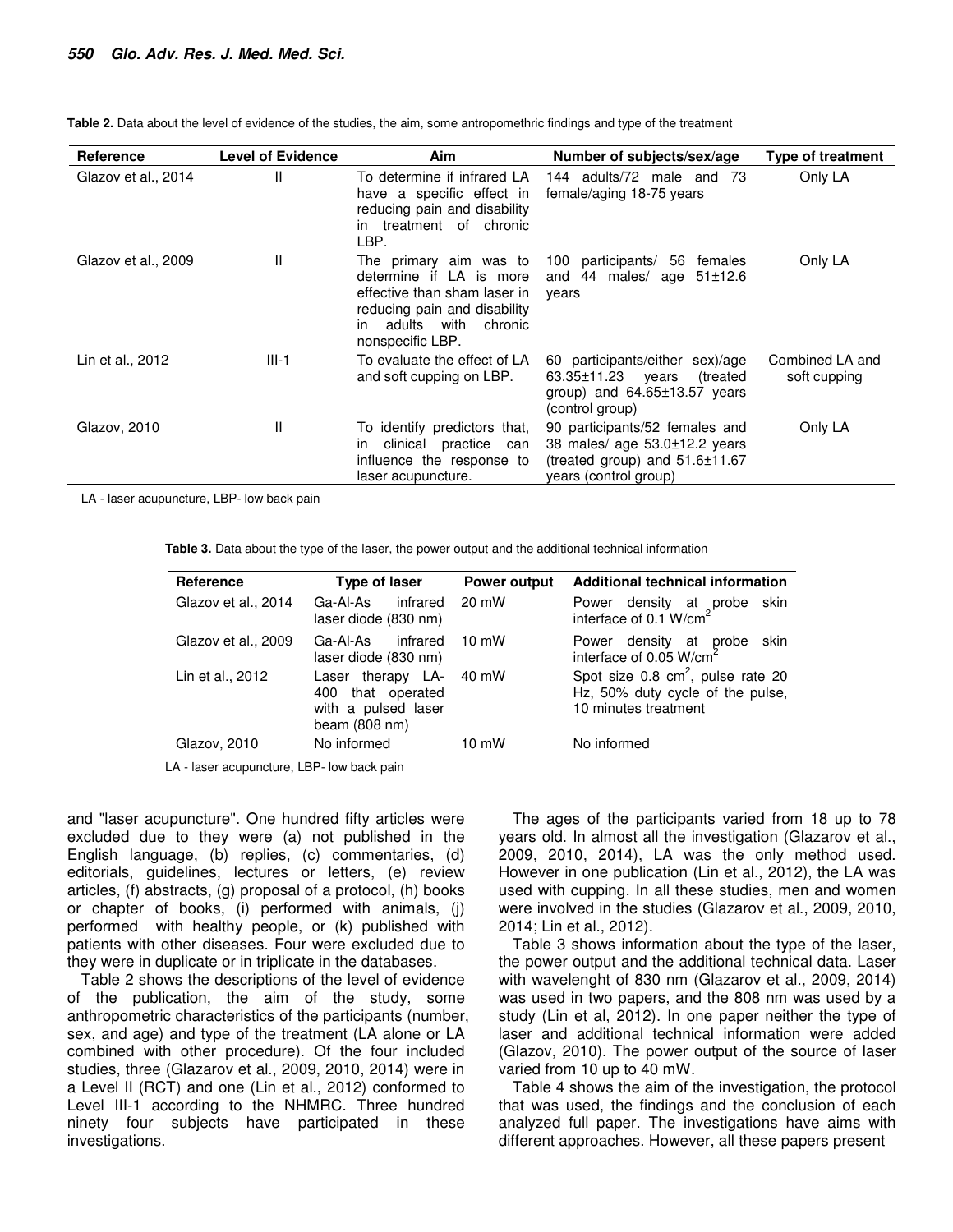| <b>Reference</b>    | <b>Level of Evidence</b> | Aim                                                                                                                                                                       | Number of subjects/sex/age                                                                                                   | <b>Type of treatment</b>        |
|---------------------|--------------------------|---------------------------------------------------------------------------------------------------------------------------------------------------------------------------|------------------------------------------------------------------------------------------------------------------------------|---------------------------------|
| Glazov et al., 2014 | Ш                        | To determine if infrared LA<br>have a specific effect in<br>reducing pain and disability<br>treatment of chronic<br>in<br>LBP.                                            | adults/72 male and<br>144<br>-73<br>female/aging 18-75 years                                                                 | Only LA                         |
| Glazov et al., 2009 | Ħ                        | The primary aim was to<br>determine if LA is more<br>effective than sham laser in<br>reducing pain and disability<br>with<br>adults<br>chronic<br>in.<br>nonspecific LBP. | 100 participants/<br>56<br>females<br>44<br>males/ age 51±12.6<br>and<br>years                                               | Only LA                         |
| Lin et al., 2012    | $III-1$                  | To evaluate the effect of LA<br>and soft cupping on LBP.                                                                                                                  | 60 participants/either sex)/age<br>63.35±11.23<br>treated)<br>years<br>group) and $64.65 \pm 13.57$ years<br>(control group) | Combined LA and<br>soft cupping |
| Glazov, 2010        | $\mathsf{I}$             | To identify predictors that,<br>clinical<br>practice<br>can<br>ın<br>influence the response to<br>laser acupuncture.                                                      | 90 participants/52 females and<br>38 males/ age 53.0±12.2 years<br>(treated group) and 51.6±11.67<br>years (control group)   | Only LA                         |

**Table 2.** Data about the level of evidence of the studies, the aim, some antropomethric findings and type of the treatment

LA - laser acupuncture, LBP- low back pain

**Table 3.** Data about the type of the laser, the power output and the additional technical information

| Reference           | Type of laser                                                                            | <b>Power output</b> | Additional technical information                                                                         |  |
|---------------------|------------------------------------------------------------------------------------------|---------------------|----------------------------------------------------------------------------------------------------------|--|
| Glazov et al., 2014 | Ga-Al-As<br>infrared<br>laser diode (830 nm)                                             | 20 mW               | skin<br>Power density at probe interface of 0.1 W/cm <sup>2</sup>                                        |  |
| Glazov et al., 2009 | infrared<br>Ga-Al-As<br>laser diode (830 nm)                                             | $10 \text{ mW}$     | Power density at probe<br>interface of 0.05 W/cm <sup>2</sup><br>skin                                    |  |
| Lin et al., 2012    | Laser therapy LA-<br>400 that operated<br>with a pulsed laser<br>beam $(808 \text{ nm})$ | 40 mW               | Spot size $0.8 \text{ cm}^2$ , pulse rate 20<br>Hz, 50% duty cycle of the pulse,<br>10 minutes treatment |  |
| Glazov, 2010        | No informed                                                                              | 10 mW               | No informed                                                                                              |  |
|                     |                                                                                          |                     |                                                                                                          |  |

LA - laser acupuncture, LBP- low back pain

and "laser acupuncture". One hundred fifty articles were excluded due to they were (a) not published in the English language, (b) replies, (c) commentaries, (d) editorials, guidelines, lectures or letters, (e) review articles, (f) abstracts, (g) proposal of a protocol, (h) books or chapter of books, (i) performed with animals, (j) performed with healthy people, or (k) published with patients with other diseases. Four were excluded due to they were in duplicate or in triplicate in the databases.

Table 2 shows the descriptions of the level of evidence of the publication, the aim of the study, some anthropometric characteristics of the participants (number, sex, and age) and type of the treatment (LA alone or LA combined with other procedure). Of the four included studies, three (Glazarov et al., 2009, 2010, 2014) were in a Level II (RCT) and one (Lin et al., 2012) conformed to Level III-1 according to the NHMRC. Three hundred ninety four subjects have participated in these investigations.

The ages of the participants varied from 18 up to 78 years old. In almost all the investigation (Glazarov et al., 2009, 2010, 2014), LA was the only method used. However in one publication (Lin et al., 2012), the LA was used with cupping. In all these studies, men and women were involved in the studies (Glazarov et al., 2009, 2010, 2014; Lin et al., 2012).

Table 3 shows information about the type of the laser, the power output and the additional technical data. Laser with wavelenght of 830 nm (Glazarov et al., 2009, 2014) was used in two papers, and the 808 nm was used by a study (Lin et al, 2012). In one paper neither the type of laser and additional technical information were added (Glazov, 2010). The power output of the source of laser varied from 10 up to 40 mW.

Table 4 shows the aim of the investigation, the protocol that was used, the findings and the conclusion of each analyzed full paper. The investigations have aims with different approaches. However, all these papers present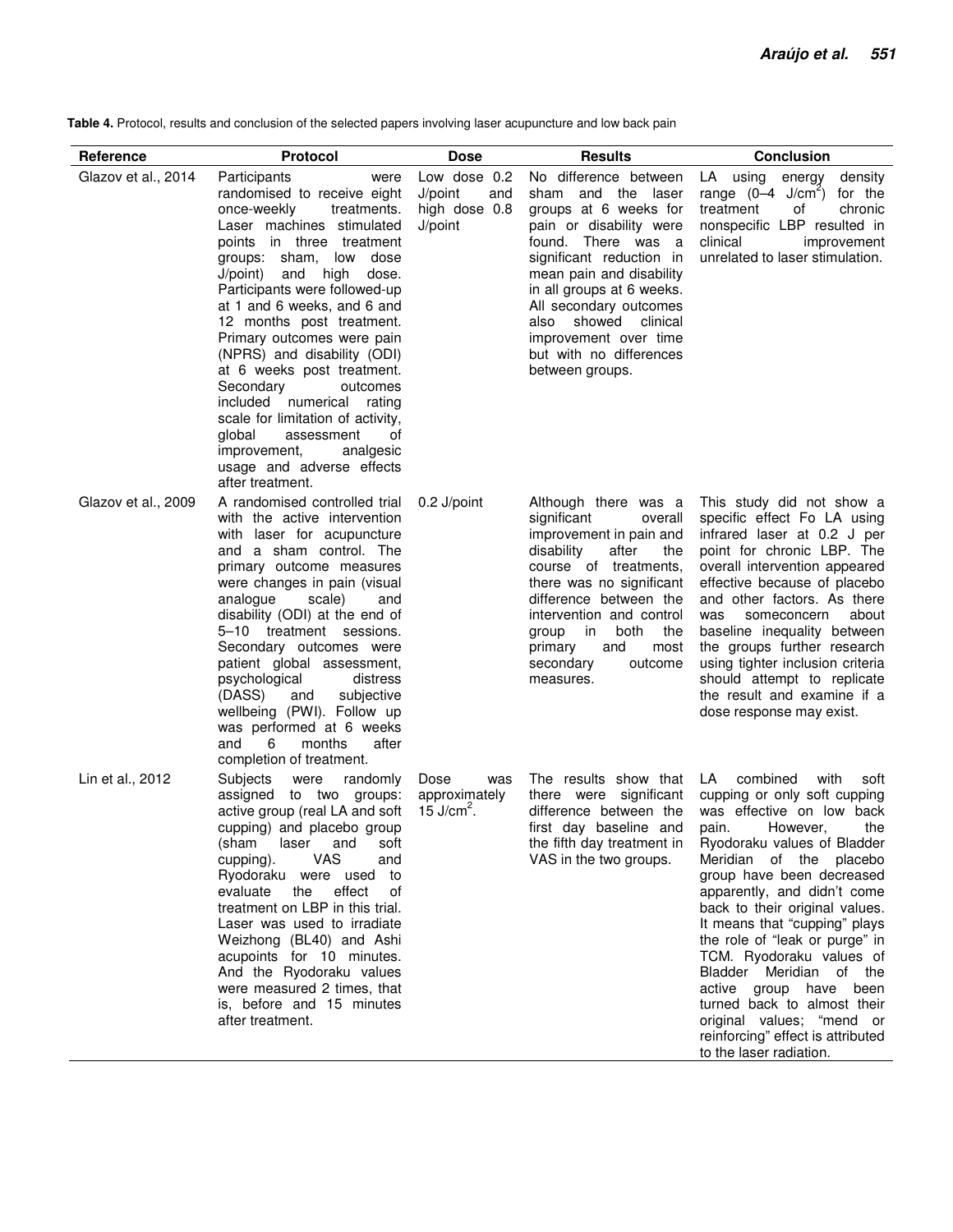**Table 4.** Protocol, results and conclusion of the selected papers involving laser acupuncture and low back pain

| Reference           | <b>Protocol</b>                                                                                                                                                                                                                                                                                                                                                                                                                                                                                                                                                                                    | <b>Dose</b>                                                | <b>Results</b>                                                                                                                                                                                                                                                                                                                            | <b>Conclusion</b>                                                                                                                                                                                                                                                                                                                                                                                                                                                                                                                                            |
|---------------------|----------------------------------------------------------------------------------------------------------------------------------------------------------------------------------------------------------------------------------------------------------------------------------------------------------------------------------------------------------------------------------------------------------------------------------------------------------------------------------------------------------------------------------------------------------------------------------------------------|------------------------------------------------------------|-------------------------------------------------------------------------------------------------------------------------------------------------------------------------------------------------------------------------------------------------------------------------------------------------------------------------------------------|--------------------------------------------------------------------------------------------------------------------------------------------------------------------------------------------------------------------------------------------------------------------------------------------------------------------------------------------------------------------------------------------------------------------------------------------------------------------------------------------------------------------------------------------------------------|
| Glazov et al., 2014 | Participants<br>were<br>randomised to receive eight<br>once-weekly<br>treatments.<br>Laser machines stimulated<br>points in three treatment<br>groups: sham, low dose<br>J/point) and high<br>dose.<br>Participants were followed-up<br>at 1 and 6 weeks, and 6 and<br>12 months post treatment.<br>Primary outcomes were pain<br>(NPRS) and disability (ODI)<br>at 6 weeks post treatment.<br>Secondary<br>outcomes<br>included numerical rating<br>scale for limitation of activity,<br>global<br>οf<br>assessment<br>improvement,<br>analgesic<br>usage and adverse effects<br>after treatment. | Low dose 0.2<br>J/point<br>and<br>high dose 0.8<br>J/point | No difference between<br>sham and the laser<br>groups at 6 weeks for<br>pain or disability were<br>found. There was a<br>significant reduction in<br>mean pain and disability<br>in all groups at 6 weeks.<br>All secondary outcomes<br>showed<br>clinical<br>also<br>improvement over time<br>but with no differences<br>between groups. | LA using energy<br>density<br>range $(0-4 \text{ J/cm}^2)$<br>for the<br>treatment<br>of<br>chronic<br>nonspecific LBP resulted in<br>clinical<br>improvement<br>unrelated to laser stimulation.                                                                                                                                                                                                                                                                                                                                                             |
| Glazov et al., 2009 | A randomised controlled trial<br>with the active intervention<br>with laser for acupuncture<br>and a sham control. The<br>primary outcome measures<br>were changes in pain (visual<br>analogue<br>scale)<br>and<br>disability (ODI) at the end of<br>5-10 treatment sessions.<br>Secondary outcomes were<br>patient global assessment,<br>psychological<br>distress<br>(DASS)<br>and<br>subjective<br>wellbeing (PWI). Follow up<br>was performed at 6 weeks<br>6<br>months<br>after<br>and<br>completion of treatment.                                                                            | 0.2 J/point                                                | Although there was a<br>significant<br>overall<br>improvement in pain and<br>disability<br>after<br>the<br>course of treatments,<br>there was no significant<br>difference between the<br>intervention and control<br>both<br>in<br>the<br>group<br>and<br>most<br>primary<br>secondary<br>outcome<br>measures.                           | This study did not show a<br>specific effect Fo LA using<br>infrared laser at 0.2 J per<br>point for chronic LBP. The<br>overall intervention appeared<br>effective because of placebo<br>and other factors. As there<br>someconcern<br>about<br>was<br>baseline inequality between<br>the groups further research<br>using tighter inclusion criteria<br>should attempt to replicate<br>the result and examine if a<br>dose response may exist.                                                                                                             |
| Lin et al., 2012    | Subjects<br>randomly<br>were<br>assigned to two groups:<br>active group (real LA and soft<br>cupping) and placebo group<br>(sham<br>laser and<br>soft<br>VAS<br>cupping).<br>and<br>Ryodoraku were used to<br>effect<br>evaluate<br>the<br>оf<br>treatment on LBP in this trial.<br>Laser was used to irradiate<br>Weizhong (BL40) and Ashi<br>acupoints for 10 minutes.<br>And the Ryodoraku values<br>were measured 2 times, that<br>is, before and 15 minutes<br>after treatment.                                                                                                               | Dose<br>was<br>approximately<br>15 J/cm <sup>2</sup> .     | The results show that<br>there were significant<br>difference between the<br>first day baseline and<br>the fifth day treatment in<br>VAS in the two groups.                                                                                                                                                                               | LA combined<br>with<br>soft<br>cupping or only soft cupping<br>was effective on low back<br>pain.<br>However,<br>the<br>Ryodoraku values of Bladder<br>Meridian of the placebo<br>group have been decreased<br>apparently, and didn't come<br>back to their original values.<br>It means that "cupping" plays<br>the role of "leak or purge" in<br>TCM. Ryodoraku values of<br>Bladder Meridian of the<br>active group have been<br>turned back to almost their<br>original values; "mend or<br>reinforcing" effect is attributed<br>to the laser radiation. |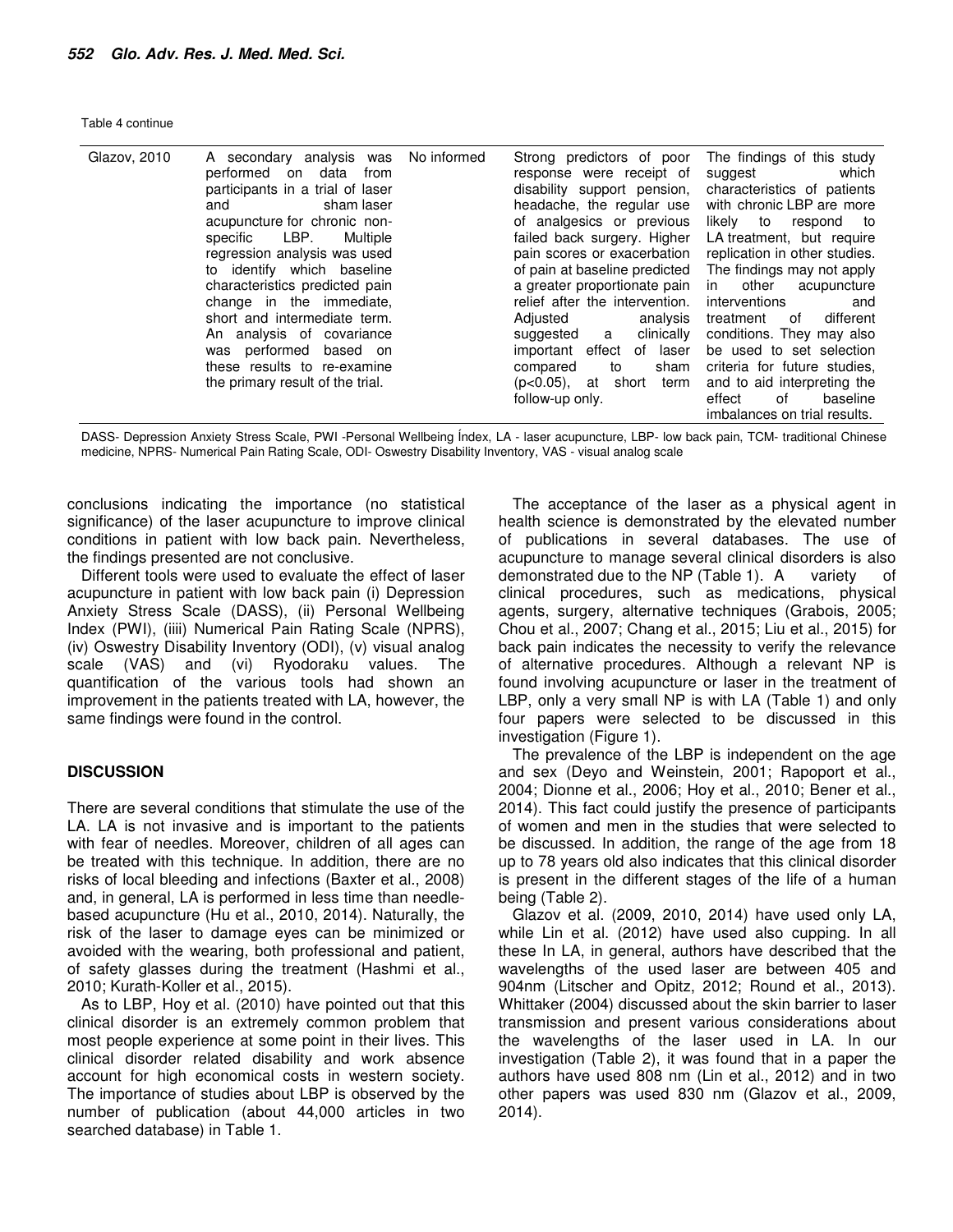|  |  |  | Table 4 continue |
|--|--|--|------------------|
|--|--|--|------------------|

| Glazov, 2010 | A secondary analysis was<br>performed on data from<br>participants in a trial of laser<br>sham laser<br>and<br>acupuncture for chronic non-<br>specific LBP. Multiple<br>regression analysis was used<br>to identify which baseline<br>characteristics predicted pain<br>change in the immediate,<br>short and intermediate term.<br>An analysis of covariance<br>was performed based on<br>these results to re-examine<br>the primary result of the trial. | No informed | Strong predictors of poor<br>response were receipt of<br>disability support pension,<br>headache, the regular use<br>of analgesics or previous<br>failed back surgery. Higher<br>pain scores or exacerbation<br>of pain at baseline predicted<br>a greater proportionate pain<br>relief after the intervention.<br>Adiusted<br>analysis<br>clinically<br>suggested a<br>important effect of laser<br>sham<br>compared<br>to<br>$(p<0.05)$ , at<br>short<br>term | The findings of this study<br>suggest which<br>characteristics of patients<br>with chronic LBP are more<br>likely to respond to<br>LA treatment, but require<br>replication in other studies.<br>The findings may not apply<br>in other acupuncture<br>interventions<br>and<br>different<br>treatment of<br>conditions. They may also<br>be used to set selection<br>criteria for future studies,<br>and to aid interpreting the |
|--------------|-------------------------------------------------------------------------------------------------------------------------------------------------------------------------------------------------------------------------------------------------------------------------------------------------------------------------------------------------------------------------------------------------------------------------------------------------------------|-------------|-----------------------------------------------------------------------------------------------------------------------------------------------------------------------------------------------------------------------------------------------------------------------------------------------------------------------------------------------------------------------------------------------------------------------------------------------------------------|----------------------------------------------------------------------------------------------------------------------------------------------------------------------------------------------------------------------------------------------------------------------------------------------------------------------------------------------------------------------------------------------------------------------------------|
|              |                                                                                                                                                                                                                                                                                                                                                                                                                                                             |             | follow-up only.                                                                                                                                                                                                                                                                                                                                                                                                                                                 | effect<br>baseline<br>of<br>imbalances on trial results.                                                                                                                                                                                                                                                                                                                                                                         |

DASS- Depression Anxiety Stress Scale, PWI -Personal Wellbeing Índex, LA - laser acupuncture, LBP- low back pain, TCM- traditional Chinese medicine, NPRS- Numerical Pain Rating Scale, ODI- Oswestry Disability Inventory, VAS - visual analog scale

conclusions indicating the importance (no statistical significance) of the laser acupuncture to improve clinical conditions in patient with low back pain. Nevertheless, the findings presented are not conclusive.

Different tools were used to evaluate the effect of laser acupuncture in patient with low back pain (i) Depression Anxiety Stress Scale (DASS), (ii) Personal Wellbeing Index (PWI), (iiii) Numerical Pain Rating Scale (NPRS), (iv) Oswestry Disability Inventory (ODI), (v) visual analog scale (VAS) and (vi) Ryodoraku values. The quantification of the various tools had shown an improvement in the patients treated with LA, however, the same findings were found in the control.

#### **DISCUSSION**

There are several conditions that stimulate the use of the LA. LA is not invasive and is important to the patients with fear of needles. Moreover, children of all ages can be treated with this technique. In addition, there are no risks of local bleeding and infections (Baxter et al., 2008) and, in general, LA is performed in less time than needlebased acupuncture (Hu et al., 2010, 2014). Naturally, the risk of the laser to damage eyes can be minimized or avoided with the wearing, both professional and patient, of safety glasses during the treatment (Hashmi et al., 2010; Kurath-Koller et al., 2015).

As to LBP, Hoy et al. (2010) have pointed out that this clinical disorder is an extremely common problem that most people experience at some point in their lives. This clinical disorder related disability and work absence account for high economical costs in western society. The importance of studies about LBP is observed by the number of publication (about 44,000 articles in two searched database) in Table 1.

The acceptance of the laser as a physical agent in health science is demonstrated by the elevated number of publications in several databases. The use of acupuncture to manage several clinical disorders is also demonstrated due to the NP (Table 1). A variety of clinical procedures, such as medications, physical agents, surgery, alternative techniques (Grabois, 2005; Chou et al., 2007; Chang et al., 2015; Liu et al., 2015) for back pain indicates the necessity to verify the relevance of alternative procedures. Although a relevant NP is found involving acupuncture or laser in the treatment of LBP, only a very small NP is with LA (Table 1) and only four papers were selected to be discussed in this investigation (Figure 1).

The prevalence of the LBP is independent on the age and sex (Deyo and Weinstein, 2001; Rapoport et al., 2004; Dionne et al., 2006; Hoy et al., 2010; Bener et al., 2014). This fact could justify the presence of participants of women and men in the studies that were selected to be discussed. In addition, the range of the age from 18 up to 78 years old also indicates that this clinical disorder is present in the different stages of the life of a human being (Table 2).

Glazov et al. (2009, 2010, 2014) have used only LA, while Lin et al. (2012) have used also cupping. In all these In LA, in general, authors have described that the wavelengths of the used laser are between 405 and 904nm (Litscher and Opitz, 2012; Round et al., 2013). Whittaker (2004) discussed about the skin barrier to laser transmission and present various considerations about the wavelengths of the laser used in LA. In our investigation (Table 2), it was found that in a paper the authors have used 808 nm (Lin et al., 2012) and in two other papers was used 830 nm (Glazov et al., 2009, 2014).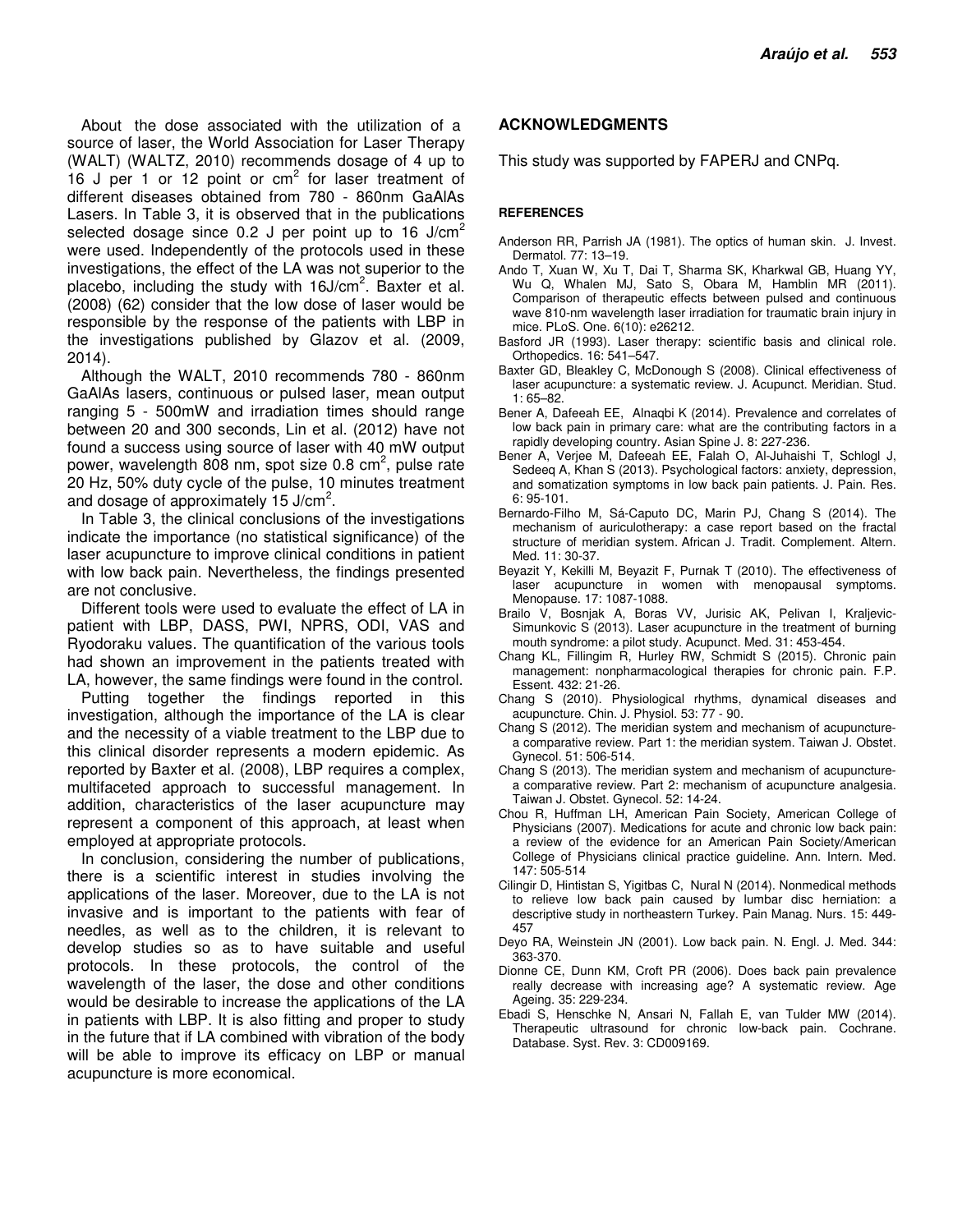About the dose associated with the utilization of a source of laser, the World Association for Laser Therapy (WALT) (WALTZ, 2010) recommends dosage of 4 up to  $16$  J per 1 or 12 point or  $cm<sup>2</sup>$  for laser treatment of different diseases obtained from 780 - 860nm GaAlAs Lasers. In Table 3, it is observed that in the publications selected dosage since 0.2 J per point up to 16 J/cm<sup>2</sup> were used. Independently of the protocols used in these investigations, the effect of the LA was not superior to the placebo, including the study with 16J/cm<sup>2</sup>. Baxter et al. (2008) (62) consider that the low dose of laser would be responsible by the response of the patients with LBP in the investigations published by Glazov et al. (2009, 2014).

Although the WALT, 2010 recommends 780 - 860nm GaAlAs lasers, continuous or pulsed laser, mean output ranging 5 - 500mW and irradiation times should range between 20 and 300 seconds, Lin et al. (2012) have not found a success using source of laser with 40 mW output power, wavelength 808 nm, spot size 0.8 cm<sup>2</sup>, pulse rate 20 Hz, 50% duty cycle of the pulse, 10 minutes treatment and dosage of approximately  $15$  J/cm<sup>2</sup>.

In Table 3, the clinical conclusions of the investigations indicate the importance (no statistical significance) of the laser acupuncture to improve clinical conditions in patient with low back pain. Nevertheless, the findings presented are not conclusive.

Different tools were used to evaluate the effect of LA in patient with LBP, DASS, PWI, NPRS, ODI, VAS and Ryodoraku values. The quantification of the various tools had shown an improvement in the patients treated with LA, however, the same findings were found in the control.

Putting together the findings reported in this investigation, although the importance of the LA is clear and the necessity of a viable treatment to the LBP due to this clinical disorder represents a modern epidemic. As reported by Baxter et al. (2008), LBP requires a complex, multifaceted approach to successful management. In addition, characteristics of the laser acupuncture may represent a component of this approach, at least when employed at appropriate protocols.

In conclusion, considering the number of publications, there is a scientific interest in studies involving the applications of the laser. Moreover, due to the LA is not invasive and is important to the patients with fear of needles, as well as to the children, it is relevant to develop studies so as to have suitable and useful protocols. In these protocols, the control of the wavelength of the laser, the dose and other conditions would be desirable to increase the applications of the LA in patients with LBP. It is also fitting and proper to study in the future that if LA combined with vibration of the body will be able to improve its efficacy on LBP or manual acupuncture is more economical.

# **ACKNOWLEDGMENTS**

This study was supported by FAPERJ and CNPq.

#### **REFERENCES**

- Anderson RR, Parrish JA (1981). The optics of human skin. J. Invest. Dermatol. 77: 13–19.
- Ando T, Xuan W, Xu T, Dai T, Sharma SK, Kharkwal GB, Huang YY, Wu Q, Whalen MJ, Sato S, Obara M, Hamblin MR (2011). Comparison of therapeutic effects between pulsed and continuous wave 810-nm wavelength laser irradiation for traumatic brain injury in mice. PLoS. One. 6(10): e26212.
- Basford JR (1993). Laser therapy: scientific basis and clinical role. Orthopedics. 16: 541–547.
- Baxter GD, Bleakley C, McDonough S (2008). Clinical effectiveness of laser acupuncture: a systematic review. J. Acupunct. Meridian. Stud. 1: 65–82.
- Bener A, Dafeeah EE, Alnaqbi K (2014). Prevalence and correlates of low back pain in primary care: what are the contributing factors in a rapidly developing country. Asian Spine J. 8: 227-236.
- Bener A, Verjee M, Dafeeah EE, Falah O, Al-Juhaishi T, Schlogl J, Sedeeq A, Khan S (2013). Psychological factors: anxiety, depression, and somatization symptoms in low back pain patients. J. Pain. Res. 6: 95-101.
- Bernardo-Filho M, Sá-Caputo DC, Marin PJ, Chang S (2014). The mechanism of auriculotherapy: a case report based on the fractal structure of meridian system. African J. Tradit. Complement. Altern. Med. 11: 30-37.
- Beyazit Y, Kekilli M, Beyazit F, Purnak T (2010). The effectiveness of laser acupuncture in women with menopausal symptoms. Menopause. 17: 1087-1088.
- Brailo V, Bosnjak A, Boras VV, Jurisic AK, Pelivan I, Kraljevic-Simunkovic S (2013). Laser acupuncture in the treatment of burning mouth syndrome: a pilot study. Acupunct. Med. 31: 453-454.
- Chang KL, Fillingim R, Hurley RW, Schmidt S (2015). Chronic pain management: nonpharmacological therapies for chronic pain. F.P. Essent. 432: 21-26.
- Chang S (2010). Physiological rhythms, dynamical diseases and acupuncture. Chin. J. Physiol. 53: 77 - 90.
- Chang S (2012). The meridian system and mechanism of acupuncturea comparative review. Part 1: the meridian system. Taiwan J. Obstet. Gynecol. 51: 506-514.
- Chang S (2013). The meridian system and mechanism of acupuncturea comparative review. Part 2: mechanism of acupuncture analgesia. Taiwan J. Obstet. Gynecol. 52: 14-24.
- Chou R, Huffman LH, American Pain Society, American College of Physicians (2007). Medications for acute and chronic low back pain: a review of the evidence for an American Pain Society/American College of Physicians clinical practice guideline. Ann. Intern. Med. 147: 505-514
- Cilingir D, Hintistan S, Yigitbas C, Nural N (2014). Nonmedical methods to relieve low back pain caused by lumbar disc herniation: a descriptive study in northeastern Turkey. Pain Manag. Nurs. 15: 449- 457
- Deyo RA, Weinstein JN (2001). Low back pain. N. Engl. J. Med. 344: 363-370.
- Dionne CE, Dunn KM, Croft PR (2006). Does back pain prevalence really decrease with increasing age? A systematic review. Age Ageing. 35: 229-234.
- Ebadi S, Henschke N, Ansari N, Fallah E, van Tulder MW (2014). Therapeutic ultrasound for chronic low-back pain. Cochrane. Database. Syst. Rev. 3: CD009169.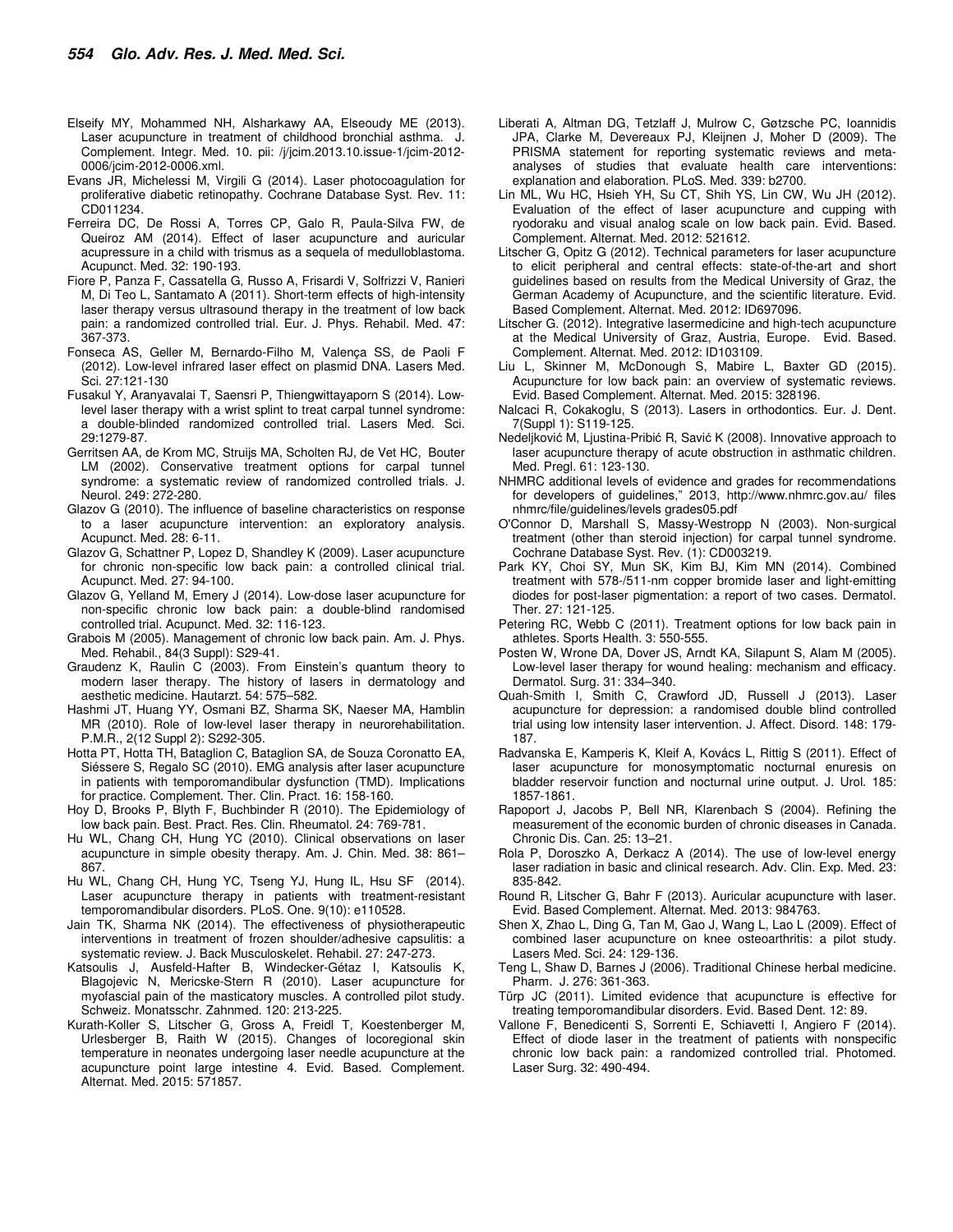- Elseify MY, Mohammed NH, Alsharkawy AA, Elseoudy ME (2013). Laser acupuncture in treatment of childhood bronchial asthma. J. Complement. Integr. Med. 10. pii: /j/jcim.2013.10.issue-1/jcim-2012- 0006/jcim-2012-0006.xml.
- Evans JR, Michelessi M, Virgili G (2014). Laser photocoagulation for proliferative diabetic retinopathy. Cochrane Database Syst. Rev. 11: CD011234.
- Ferreira DC, De Rossi A, Torres CP, Galo R, Paula-Silva FW, de Queiroz AM (2014). Effect of laser acupuncture and auricular acupressure in a child with trismus as a sequela of medulloblastoma. Acupunct. Med. 32: 190-193.
- Fiore P, Panza F, Cassatella G, Russo A, Frisardi V, Solfrizzi V, Ranieri M, Di Teo L, Santamato A (2011). Short-term effects of high-intensity laser therapy versus ultrasound therapy in the treatment of low back pain: a randomized controlled trial. Eur. J. Phys. Rehabil. Med. 47: 367-373.
- Fonseca AS, Geller M, Bernardo-Filho M, Valença SS, de Paoli F (2012). Low-level infrared laser effect on plasmid DNA. Lasers Med. Sci. 27:121-130
- Fusakul Y, Aranyavalai T, Saensri P, Thiengwittayaporn S (2014). Lowlevel laser therapy with a wrist splint to treat carpal tunnel syndrome: a double-blinded randomized controlled trial. Lasers Med. Sci. 29:1279-87.
- Gerritsen AA, de Krom MC, Struijs MA, Scholten RJ, de Vet HC, Bouter LM (2002). Conservative treatment options for carpal tunnel syndrome: a systematic review of randomized controlled trials. J. Neurol. 249: 272-280.
- Glazov G (2010). The influence of baseline characteristics on response to a laser acupuncture intervention: an exploratory analysis. Acupunct. Med. 28: 6-11.
- Glazov G, Schattner P, Lopez D, Shandley K (2009). Laser acupuncture for chronic non-specific low back pain: a controlled clinical trial. Acupunct. Med. 27: 94-100.
- Glazov G, Yelland M, Emery J (2014). Low-dose laser acupuncture for non-specific chronic low back pain: a double-blind randomised controlled trial. Acupunct. Med. 32: 116-123.
- Grabois M (2005). Management of chronic low back pain. Am. J. Phys. Med. Rehabil., 84(3 Suppl): S29-41.
- Graudenz K, Raulin C (2003). From Einstein's quantum theory to modern laser therapy. The history of lasers in dermatology and aesthetic medicine. Hautarzt. 54: 575–582.
- Hashmi JT, Huang YY, Osmani BZ, Sharma SK, Naeser MA, Hamblin MR (2010). Role of low-level laser therapy in neurorehabilitation. P.M.R., 2(12 Suppl 2): S292-305.
- Hotta PT, Hotta TH, Bataglion C, Bataglion SA, de Souza Coronatto EA, Siéssere S, Regalo SC (2010). EMG analysis after laser acupuncture in patients with temporomandibular dysfunction (TMD). Implications for practice. Complement. Ther. Clin. Pract. 16: 158-160.
- Hoy D, Brooks P, Blyth F, Buchbinder R (2010). The Epidemiology of low back pain. Best. Pract. Res. Clin. Rheumatol. 24: 769-781.
- Hu WL, Chang CH, Hung YC (2010). Clinical observations on laser acupuncture in simple obesity therapy. Am. J. Chin. Med. 38: 861– 867.
- Hu WL, Chang CH, Hung YC, Tseng YJ, Hung IL, Hsu SF (2014). Laser acupuncture therapy in patients with treatment-resistant temporomandibular disorders. PLoS. One. 9(10): e110528.
- Jain TK, Sharma NK (2014). The effectiveness of physiotherapeutic interventions in treatment of frozen shoulder/adhesive capsulitis: a systematic review. J. Back Musculoskelet. Rehabil. 27: 247-273.
- Katsoulis J, Ausfeld-Hafter B, Windecker-Gétaz I, Katsoulis K, Blagojevic N, Mericske-Stern R (2010). Laser acupuncture for myofascial pain of the masticatory muscles. A controlled pilot study. Schweiz. Monatsschr. Zahnmed. 120: 213-225.
- Kurath-Koller S, Litscher G, Gross A, Freidl T, Koestenberger M, Urlesberger B, Raith W (2015). Changes of locoregional skin temperature in neonates undergoing laser needle acupuncture at the acupuncture point large intestine 4. Evid. Based. Complement. Alternat. Med. 2015: 571857.
- Liberati A, Altman DG, Tetzlaff J, Mulrow C, Gøtzsche PC, Ioannidis JPA, Clarke M, Devereaux PJ, Kleijnen J, Moher D (2009). The PRISMA statement for reporting systematic reviews and metaanalyses of studies that evaluate health care interventions: explanation and elaboration. PLoS. Med. 339: b2700.
- Lin ML, Wu HC, Hsieh YH, Su CT, Shih YS, Lin CW, Wu JH (2012). Evaluation of the effect of laser acupuncture and cupping with ryodoraku and visual analog scale on low back pain. Evid. Based. Complement. Alternat. Med. 2012: 521612.
- Litscher G, Opitz G (2012). Technical parameters for laser acupuncture to elicit peripheral and central effects: state-of-the-art and short guidelines based on results from the Medical University of Graz, the German Academy of Acupuncture, and the scientific literature. Evid. Based Complement. Alternat. Med. 2012: ID697096.
- Litscher G. (2012). Integrative lasermedicine and high-tech acupuncture at the Medical University of Graz, Austria, Europe. Evid. Based. Complement. Alternat. Med. 2012: ID103109.
- Liu L, Skinner M, McDonough S, Mabire L, Baxter GD (2015). Acupuncture for low back pain: an overview of systematic reviews. Evid. Based Complement. Alternat. Med. 2015: 328196.
- Nalcaci R, Cokakoglu, S (2013). Lasers in orthodontics. Eur. J. Dent. 7(Suppl 1): S119-125.
- Nedeljković M, Ljustina-Pribić R, Savić K (2008). Innovative approach to laser acupuncture therapy of acute obstruction in asthmatic children. Med. Pregl. 61: 123-130.
- NHMRC additional levels of evidence and grades for recommendations for developers of guidelines," 2013, http://www.nhmrc.gov.au/ files nhmrc/file/guidelines/levels grades05.pdf
- O'Connor D, Marshall S, Massy-Westropp N (2003). Non-surgical treatment (other than steroid injection) for carpal tunnel syndrome. Cochrane Database Syst. Rev. (1): CD003219.
- Park KY, Choi SY, Mun SK, Kim BJ, Kim MN (2014). Combined treatment with 578-/511-nm copper bromide laser and light-emitting diodes for post-laser pigmentation: a report of two cases. Dermatol. Ther. 27: 121-125.
- Petering RC, Webb C (2011). Treatment options for low back pain in athletes. Sports Health. 3: 550-555.
- Posten W, Wrone DA, Dover JS, Arndt KA, Silapunt S, Alam M (2005). Low-level laser therapy for wound healing: mechanism and efficacy. Dermatol. Surg. 31: 334–340.
- Quah-Smith I, Smith C, Crawford JD, Russell J (2013). Laser acupuncture for depression: a randomised double blind controlled trial using low intensity laser intervention. J. Affect. Disord. 148: 179- 187.
- Radvanska E, Kamperis K, Kleif A, Kovács L, Rittig S (2011). Effect of laser acupuncture for monosymptomatic nocturnal enuresis on bladder reservoir function and nocturnal urine output. J. Urol. 185: 1857-1861.
- Rapoport J, Jacobs P, Bell NR, Klarenbach S (2004). Refining the measurement of the economic burden of chronic diseases in Canada. Chronic Dis. Can. 25: 13–21.
- Rola P, Doroszko A, Derkacz A (2014). The use of low-level energy laser radiation in basic and clinical research. Adv. Clin. Exp. Med. 23: 835-842.
- Round R, Litscher G, Bahr F (2013). Auricular acupuncture with laser. Evid. Based Complement. Alternat. Med. 2013: 984763.
- Shen X, Zhao L, Ding G, Tan M, Gao J, Wang L, Lao L (2009). Effect of combined laser acupuncture on knee osteoarthritis: a pilot study. Lasers Med. Sci. 24: 129-136.
- Teng L, Shaw D, Barnes J (2006). Traditional Chinese herbal medicine. Pharm. J. 276: 361-363.
- Türp JC (2011). Limited evidence that acupuncture is effective for treating temporomandibular disorders. Evid. Based Dent. 12: 89.
- Vallone F, Benedicenti S, Sorrenti E, Schiavetti I, Angiero F (2014). Effect of diode laser in the treatment of patients with nonspecific chronic low back pain: a randomized controlled trial. Photomed. Laser Surg. 32: 490-494.